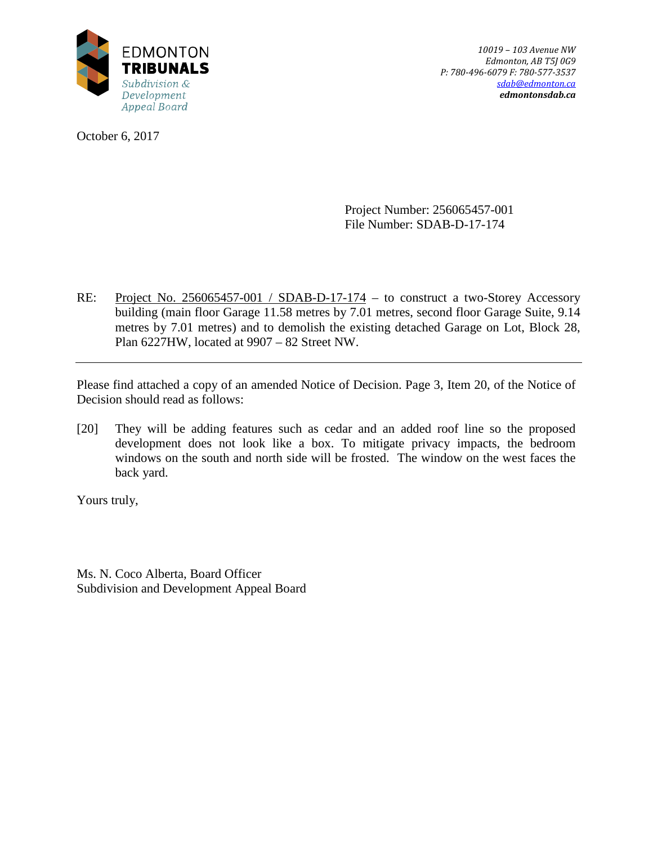

October 6, 2017

*10019 – 103 Avenue NW Edmonton, AB T5J 0G9 P: 780-496-6079 F: 780-577-3537 [sdab@edmonton.ca](mailto:sdab@edmonton.ca) edmontonsdab.ca*

Project Number: 256065457-001 File Number: SDAB-D-17-174

RE: Project No. 256065457-001 / SDAB-D-17-174 – to construct a two-Storey Accessory building (main floor Garage 11.58 metres by 7.01 metres, second floor Garage Suite, 9.14 metres by 7.01 metres) and to demolish the existing detached Garage on Lot, Block 28, Plan 6227HW, located at 9907 – 82 Street NW.

Please find attached a copy of an amended Notice of Decision. Page 3, Item 20, of the Notice of Decision should read as follows:

[20] They will be adding features such as cedar and an added roof line so the proposed development does not look like a box. To mitigate privacy impacts, the bedroom windows on the south and north side will be frosted. The window on the west faces the back yard.

Yours truly,

Ms. N. Coco Alberta, Board Officer Subdivision and Development Appeal Board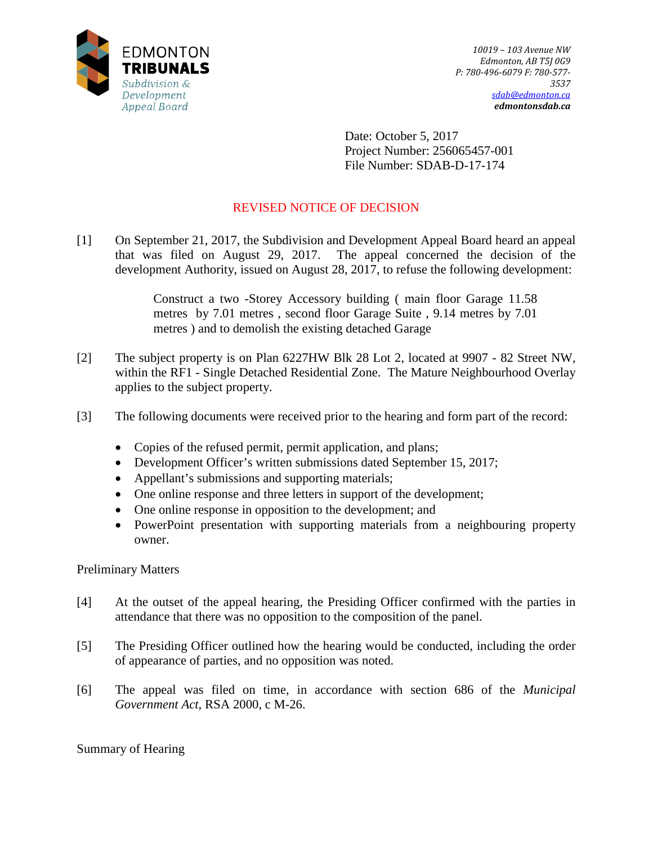

Date: October 5, 2017 Project Number: 256065457-001 File Number: SDAB-D-17-174

# REVISED NOTICE OF DECISION

[1] On September 21, 2017, the Subdivision and Development Appeal Board heard an appeal that was filed on August 29, 2017. The appeal concerned the decision of the development Authority, issued on August 28, 2017, to refuse the following development:

> Construct a two -Storey Accessory building ( main floor Garage 11.58 metres by 7.01 metres , second floor Garage Suite , 9.14 metres by 7.01 metres ) and to demolish the existing detached Garage

- [2] The subject property is on Plan 6227HW Blk 28 Lot 2, located at 9907 82 Street NW, within the RF1 - Single Detached Residential Zone. The Mature Neighbourhood Overlay applies to the subject property.
- [3] The following documents were received prior to the hearing and form part of the record:
	- Copies of the refused permit, permit application, and plans;
	- Development Officer's written submissions dated September 15, 2017;
	- Appellant's submissions and supporting materials;
	- One online response and three letters in support of the development;
	- One online response in opposition to the development; and
	- PowerPoint presentation with supporting materials from a neighbouring property owner.

Preliminary Matters

- [4] At the outset of the appeal hearing, the Presiding Officer confirmed with the parties in attendance that there was no opposition to the composition of the panel.
- [5] The Presiding Officer outlined how the hearing would be conducted, including the order of appearance of parties, and no opposition was noted.
- [6] The appeal was filed on time, in accordance with section 686 of the *Municipal Government Act*, RSA 2000, c M-26.

Summary of Hearing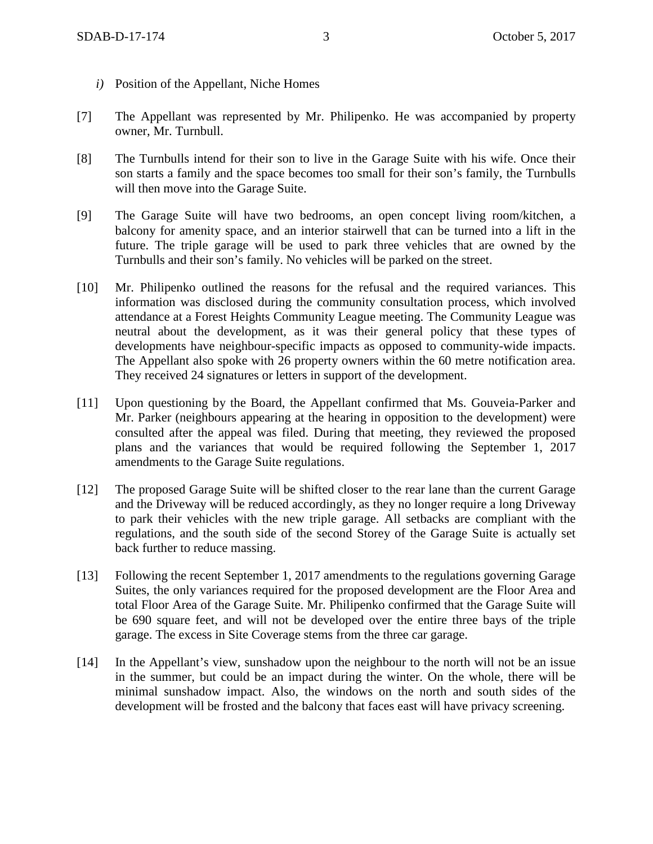- *i)* Position of the Appellant, Niche Homes
- [7] The Appellant was represented by Mr. Philipenko. He was accompanied by property owner, Mr. Turnbull.
- [8] The Turnbulls intend for their son to live in the Garage Suite with his wife. Once their son starts a family and the space becomes too small for their son's family, the Turnbulls will then move into the Garage Suite.
- [9] The Garage Suite will have two bedrooms, an open concept living room/kitchen, a balcony for amenity space, and an interior stairwell that can be turned into a lift in the future. The triple garage will be used to park three vehicles that are owned by the Turnbulls and their son's family. No vehicles will be parked on the street.
- [10] Mr. Philipenko outlined the reasons for the refusal and the required variances. This information was disclosed during the community consultation process, which involved attendance at a Forest Heights Community League meeting. The Community League was neutral about the development, as it was their general policy that these types of developments have neighbour-specific impacts as opposed to community-wide impacts. The Appellant also spoke with 26 property owners within the 60 metre notification area. They received 24 signatures or letters in support of the development.
- [11] Upon questioning by the Board, the Appellant confirmed that Ms. Gouveia-Parker and Mr. Parker (neighbours appearing at the hearing in opposition to the development) were consulted after the appeal was filed. During that meeting, they reviewed the proposed plans and the variances that would be required following the September 1, 2017 amendments to the Garage Suite regulations.
- [12] The proposed Garage Suite will be shifted closer to the rear lane than the current Garage and the Driveway will be reduced accordingly, as they no longer require a long Driveway to park their vehicles with the new triple garage. All setbacks are compliant with the regulations, and the south side of the second Storey of the Garage Suite is actually set back further to reduce massing.
- [13] Following the recent September 1, 2017 amendments to the regulations governing Garage Suites, the only variances required for the proposed development are the Floor Area and total Floor Area of the Garage Suite. Mr. Philipenko confirmed that the Garage Suite will be 690 square feet, and will not be developed over the entire three bays of the triple garage. The excess in Site Coverage stems from the three car garage.
- [14] In the Appellant's view, sunshadow upon the neighbour to the north will not be an issue in the summer, but could be an impact during the winter. On the whole, there will be minimal sunshadow impact. Also, the windows on the north and south sides of the development will be frosted and the balcony that faces east will have privacy screening.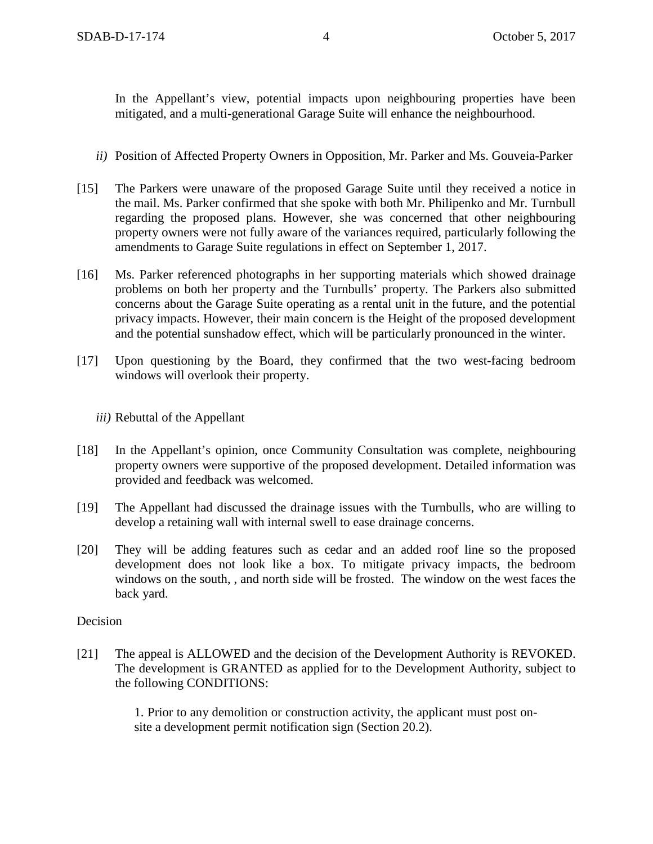In the Appellant's view, potential impacts upon neighbouring properties have been mitigated, and a multi-generational Garage Suite will enhance the neighbourhood.

- *ii)* Position of Affected Property Owners in Opposition, Mr. Parker and Ms. Gouveia-Parker
- [15] The Parkers were unaware of the proposed Garage Suite until they received a notice in the mail. Ms. Parker confirmed that she spoke with both Mr. Philipenko and Mr. Turnbull regarding the proposed plans. However, she was concerned that other neighbouring property owners were not fully aware of the variances required, particularly following the amendments to Garage Suite regulations in effect on September 1, 2017.
- [16] Ms. Parker referenced photographs in her supporting materials which showed drainage problems on both her property and the Turnbulls' property. The Parkers also submitted concerns about the Garage Suite operating as a rental unit in the future, and the potential privacy impacts. However, their main concern is the Height of the proposed development and the potential sunshadow effect, which will be particularly pronounced in the winter.
- [17] Upon questioning by the Board, they confirmed that the two west-facing bedroom windows will overlook their property.

### *iii)* Rebuttal of the Appellant

- [18] In the Appellant's opinion, once Community Consultation was complete, neighbouring property owners were supportive of the proposed development. Detailed information was provided and feedback was welcomed.
- [19] The Appellant had discussed the drainage issues with the Turnbulls, who are willing to develop a retaining wall with internal swell to ease drainage concerns.
- [20] They will be adding features such as cedar and an added roof line so the proposed development does not look like a box. To mitigate privacy impacts, the bedroom windows on the south, , and north side will be frosted. The window on the west faces the back yard.

### Decision

[21] The appeal is ALLOWED and the decision of the Development Authority is REVOKED. The development is GRANTED as applied for to the Development Authority, subject to the following CONDITIONS:

> 1. Prior to any demolition or construction activity, the applicant must post onsite a development permit notification sign (Section 20.2).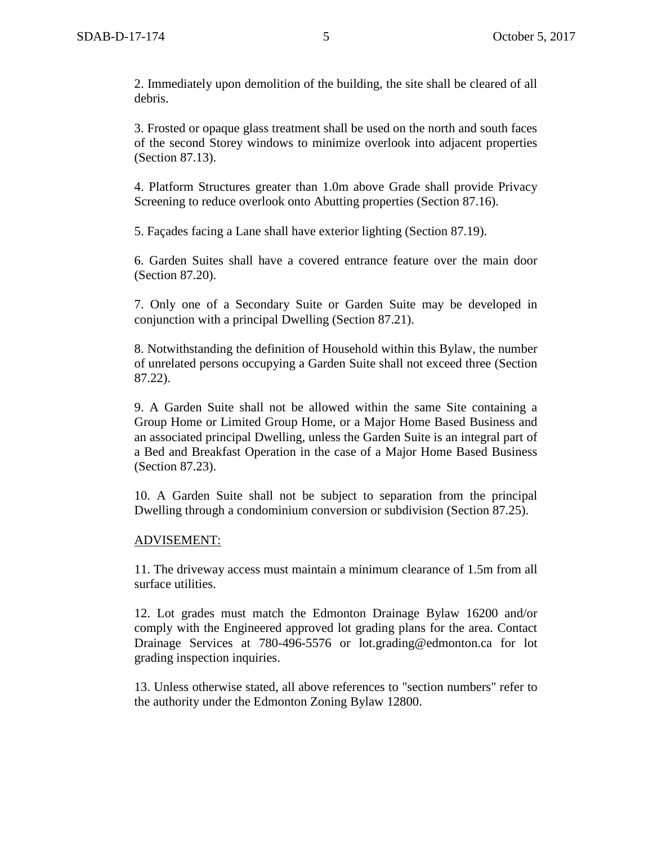2. Immediately upon demolition of the building, the site shall be cleared of all debris.

3. Frosted or opaque glass treatment shall be used on the north and south faces of the second Storey windows to minimize overlook into adjacent properties (Section 87.13).

4. Platform Structures greater than 1.0m above Grade shall provide Privacy Screening to reduce overlook onto Abutting properties (Section 87.16).

5. Façades facing a Lane shall have exterior lighting (Section 87.19).

6. Garden Suites shall have a covered entrance feature over the main door (Section 87.20).

7. Only one of a Secondary Suite or Garden Suite may be developed in conjunction with a principal Dwelling (Section 87.21).

8. Notwithstanding the definition of Household within this Bylaw, the number of unrelated persons occupying a Garden Suite shall not exceed three (Section 87.22).

9. A Garden Suite shall not be allowed within the same Site containing a Group Home or Limited Group Home, or a Major Home Based Business and an associated principal Dwelling, unless the Garden Suite is an integral part of a Bed and Breakfast Operation in the case of a Major Home Based Business (Section 87.23).

10. A Garden Suite shall not be subject to separation from the principal Dwelling through a condominium conversion or subdivision (Section 87.25).

#### ADVISEMENT:

11. The driveway access must maintain a minimum clearance of 1.5m from all surface utilities.

12. Lot grades must match the Edmonton Drainage Bylaw 16200 and/or comply with the Engineered approved lot grading plans for the area. Contact Drainage Services at 780-496-5576 or lot.grading@edmonton.ca for lot grading inspection inquiries.

13. Unless otherwise stated, all above references to "section numbers" refer to the authority under the Edmonton Zoning Bylaw 12800.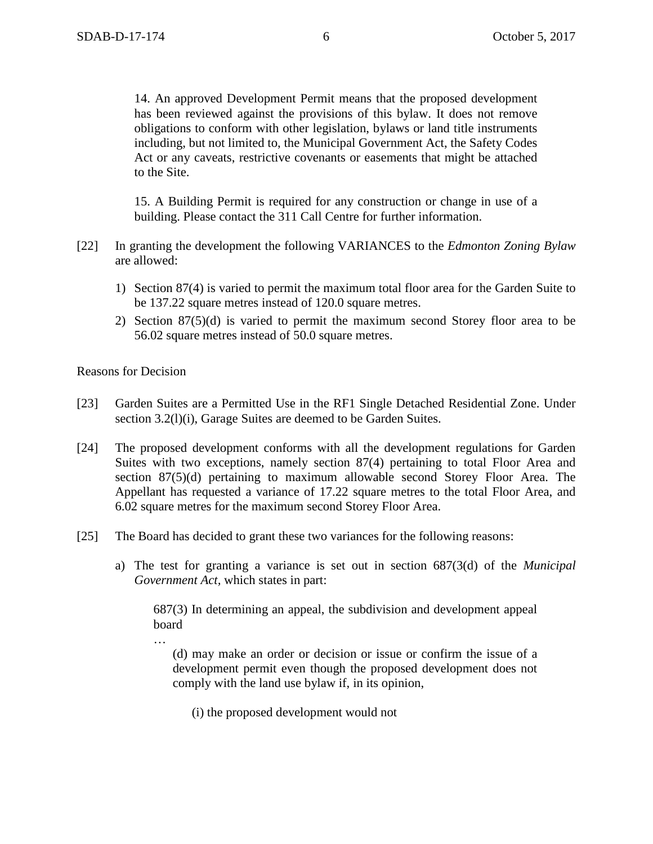14. An approved Development Permit means that the proposed development has been reviewed against the provisions of this bylaw. It does not remove obligations to conform with other legislation, bylaws or land title instruments including, but not limited to, the Municipal Government Act, the Safety Codes Act or any caveats, restrictive covenants or easements that might be attached to the Site.

15. A Building Permit is required for any construction or change in use of a building. Please contact the 311 Call Centre for further information.

- [22] In granting the development the following VARIANCES to the *Edmonton Zoning Bylaw* are allowed:
	- 1) Section 87(4) is varied to permit the maximum total floor area for the Garden Suite to be 137.22 square metres instead of 120.0 square metres.
	- 2) Section 87(5)(d) is varied to permit the maximum second Storey floor area to be 56.02 square metres instead of 50.0 square metres.

Reasons for Decision

…

- [23] Garden Suites are a Permitted Use in the RF1 Single Detached Residential Zone. Under section 3.2(1)(i), Garage Suites are deemed to be Garden Suites.
- [24] The proposed development conforms with all the development regulations for Garden Suites with two exceptions, namely section 87(4) pertaining to total Floor Area and section 87(5)(d) pertaining to maximum allowable second Storey Floor Area. The Appellant has requested a variance of 17.22 square metres to the total Floor Area, and 6.02 square metres for the maximum second Storey Floor Area.
- [25] The Board has decided to grant these two variances for the following reasons:
	- a) The test for granting a variance is set out in section 687(3(d) of the *Municipal Government Act,* which states in part:

687(3) In determining an appeal, the subdivision and development appeal board

(d) may make an order or decision or issue or confirm the issue of a development permit even though the proposed development does not comply with the land use bylaw if, in its opinion,

(i) the proposed development would not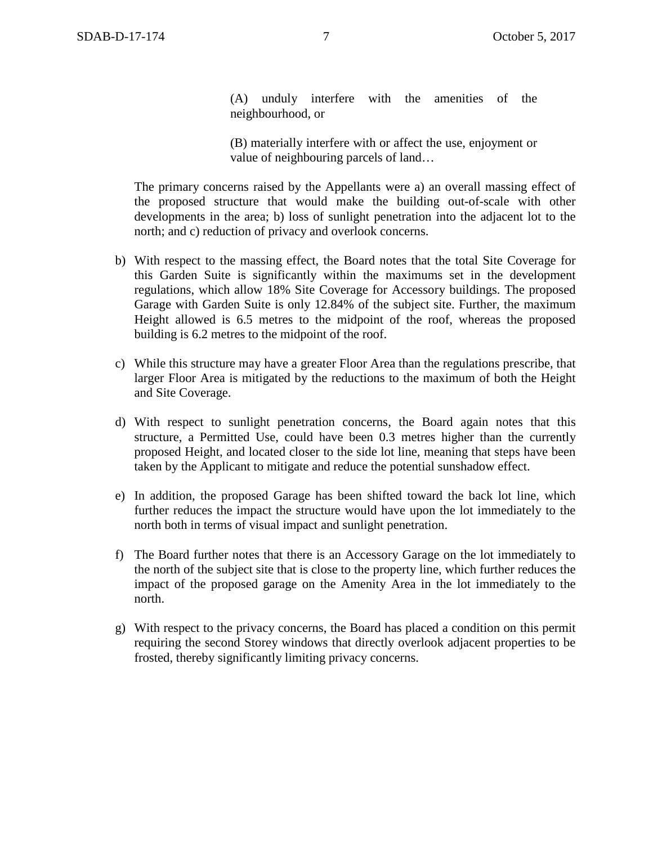(A) unduly interfere with the amenities of the neighbourhood, or

(B) materially interfere with or affect the use, enjoyment or value of neighbouring parcels of land…

The primary concerns raised by the Appellants were a) an overall massing effect of the proposed structure that would make the building out-of-scale with other developments in the area; b) loss of sunlight penetration into the adjacent lot to the north; and c) reduction of privacy and overlook concerns.

- b) With respect to the massing effect, the Board notes that the total Site Coverage for this Garden Suite is significantly within the maximums set in the development regulations, which allow 18% Site Coverage for Accessory buildings. The proposed Garage with Garden Suite is only 12.84% of the subject site. Further, the maximum Height allowed is 6.5 metres to the midpoint of the roof, whereas the proposed building is 6.2 metres to the midpoint of the roof.
- c) While this structure may have a greater Floor Area than the regulations prescribe, that larger Floor Area is mitigated by the reductions to the maximum of both the Height and Site Coverage.
- d) With respect to sunlight penetration concerns, the Board again notes that this structure, a Permitted Use, could have been 0.3 metres higher than the currently proposed Height, and located closer to the side lot line, meaning that steps have been taken by the Applicant to mitigate and reduce the potential sunshadow effect.
- e) In addition, the proposed Garage has been shifted toward the back lot line, which further reduces the impact the structure would have upon the lot immediately to the north both in terms of visual impact and sunlight penetration.
- f) The Board further notes that there is an Accessory Garage on the lot immediately to the north of the subject site that is close to the property line, which further reduces the impact of the proposed garage on the Amenity Area in the lot immediately to the north.
- g) With respect to the privacy concerns, the Board has placed a condition on this permit requiring the second Storey windows that directly overlook adjacent properties to be frosted, thereby significantly limiting privacy concerns.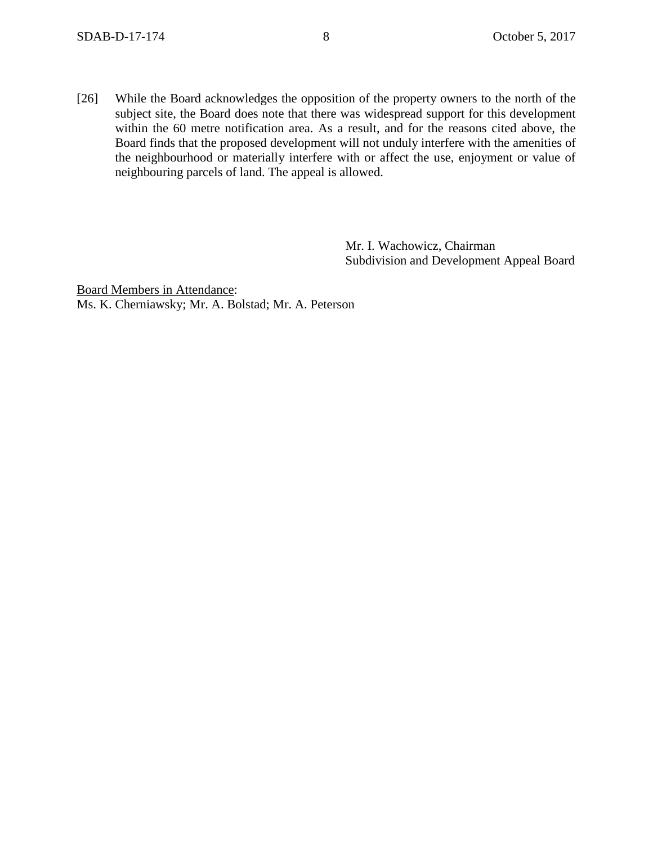[26] While the Board acknowledges the opposition of the property owners to the north of the subject site, the Board does note that there was widespread support for this development within the 60 metre notification area. As a result, and for the reasons cited above, the Board finds that the proposed development will not unduly interfere with the amenities of the neighbourhood or materially interfere with or affect the use, enjoyment or value of neighbouring parcels of land. The appeal is allowed.

> Mr. I. Wachowicz, Chairman Subdivision and Development Appeal Board

Board Members in Attendance: Ms. K. Cherniawsky; Mr. A. Bolstad; Mr. A. Peterson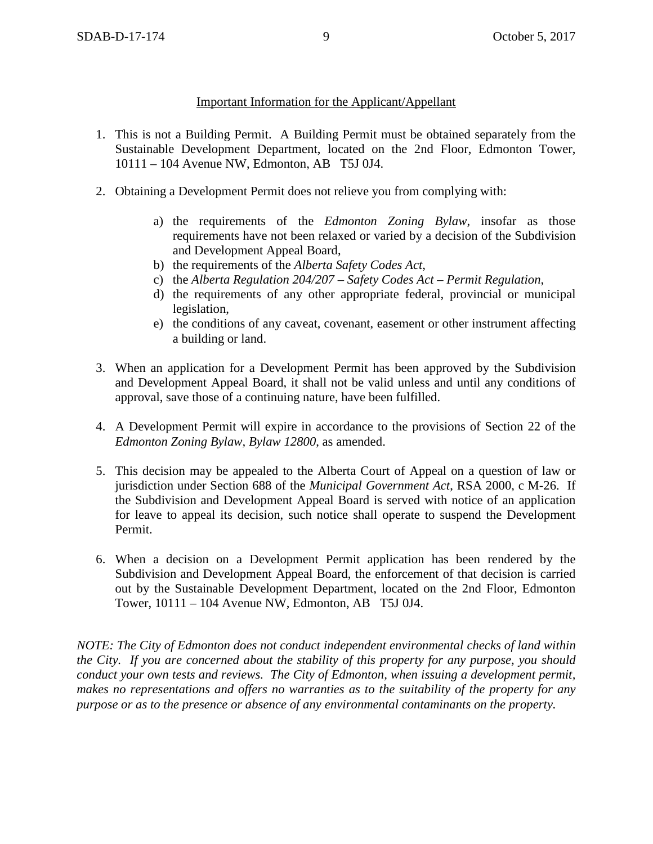## Important Information for the Applicant/Appellant

- 1. This is not a Building Permit. A Building Permit must be obtained separately from the Sustainable Development Department, located on the 2nd Floor, Edmonton Tower, 10111 – 104 Avenue NW, Edmonton, AB T5J 0J4.
- 2. Obtaining a Development Permit does not relieve you from complying with:
	- a) the requirements of the *Edmonton Zoning Bylaw*, insofar as those requirements have not been relaxed or varied by a decision of the Subdivision and Development Appeal Board,
	- b) the requirements of the *Alberta Safety Codes Act*,
	- c) the *Alberta Regulation 204/207 – Safety Codes Act – Permit Regulation*,
	- d) the requirements of any other appropriate federal, provincial or municipal legislation,
	- e) the conditions of any caveat, covenant, easement or other instrument affecting a building or land.
- 3. When an application for a Development Permit has been approved by the Subdivision and Development Appeal Board, it shall not be valid unless and until any conditions of approval, save those of a continuing nature, have been fulfilled.
- 4. A Development Permit will expire in accordance to the provisions of Section 22 of the *Edmonton Zoning Bylaw, Bylaw 12800*, as amended.
- 5. This decision may be appealed to the Alberta Court of Appeal on a question of law or jurisdiction under Section 688 of the *Municipal Government Act*, RSA 2000, c M-26. If the Subdivision and Development Appeal Board is served with notice of an application for leave to appeal its decision, such notice shall operate to suspend the Development Permit.
- 6. When a decision on a Development Permit application has been rendered by the Subdivision and Development Appeal Board, the enforcement of that decision is carried out by the Sustainable Development Department, located on the 2nd Floor, Edmonton Tower, 10111 – 104 Avenue NW, Edmonton, AB T5J 0J4.

*NOTE: The City of Edmonton does not conduct independent environmental checks of land within the City. If you are concerned about the stability of this property for any purpose, you should conduct your own tests and reviews. The City of Edmonton, when issuing a development permit, makes no representations and offers no warranties as to the suitability of the property for any purpose or as to the presence or absence of any environmental contaminants on the property.*